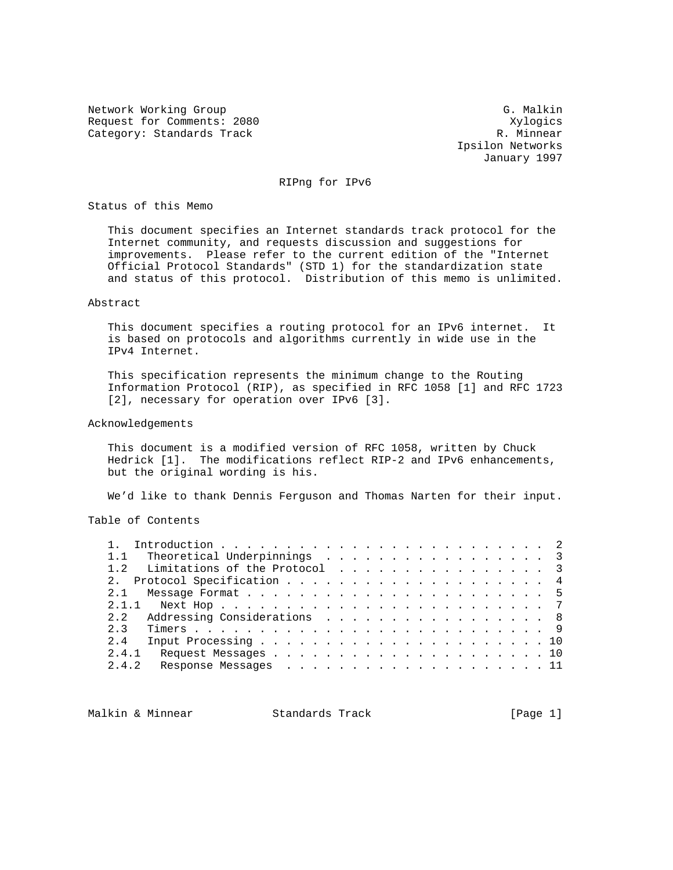Network Working Group G. Malkin G. Malkin Request for Comments: 2080<br>
Category: Standards Track Category: Standards Track Category: Standards Track

 Ipsilon Networks January 1997

RIPng for IPv6

Status of this Memo

 This document specifies an Internet standards track protocol for the Internet community, and requests discussion and suggestions for improvements. Please refer to the current edition of the "Internet Official Protocol Standards" (STD 1) for the standardization state and status of this protocol. Distribution of this memo is unlimited.

# Abstract

 This document specifies a routing protocol for an IPv6 internet. It is based on protocols and algorithms currently in wide use in the IPv4 Internet.

 This specification represents the minimum change to the Routing Information Protocol (RIP), as specified in RFC 1058 [1] and RFC 1723 [2], necessary for operation over IPv6 [3].

## Acknowledgements

 This document is a modified version of RFC 1058, written by Chuck Hedrick [1]. The modifications reflect RIP-2 and IPv6 enhancements, but the original wording is his.

We'd like to thank Dennis Ferguson and Thomas Narten for their input.

Table of Contents

| 1.1 Theoretical Underpinnings 3   |  |  |  |  |  |  |  |  |  |
|-----------------------------------|--|--|--|--|--|--|--|--|--|
| 1.2 Limitations of the Protocol 3 |  |  |  |  |  |  |  |  |  |
| 2. Protocol Specification 4       |  |  |  |  |  |  |  |  |  |
|                                   |  |  |  |  |  |  |  |  |  |
|                                   |  |  |  |  |  |  |  |  |  |
| 2.2 Addressing Considerations 8   |  |  |  |  |  |  |  |  |  |
| 2 <sup>3</sup>                    |  |  |  |  |  |  |  |  |  |
| 2.4                               |  |  |  |  |  |  |  |  |  |
| 2.4.1                             |  |  |  |  |  |  |  |  |  |
| Response Messages 11<br>2.4.2     |  |  |  |  |  |  |  |  |  |
|                                   |  |  |  |  |  |  |  |  |  |

Malkin & Minnear Standards Track [Page 1]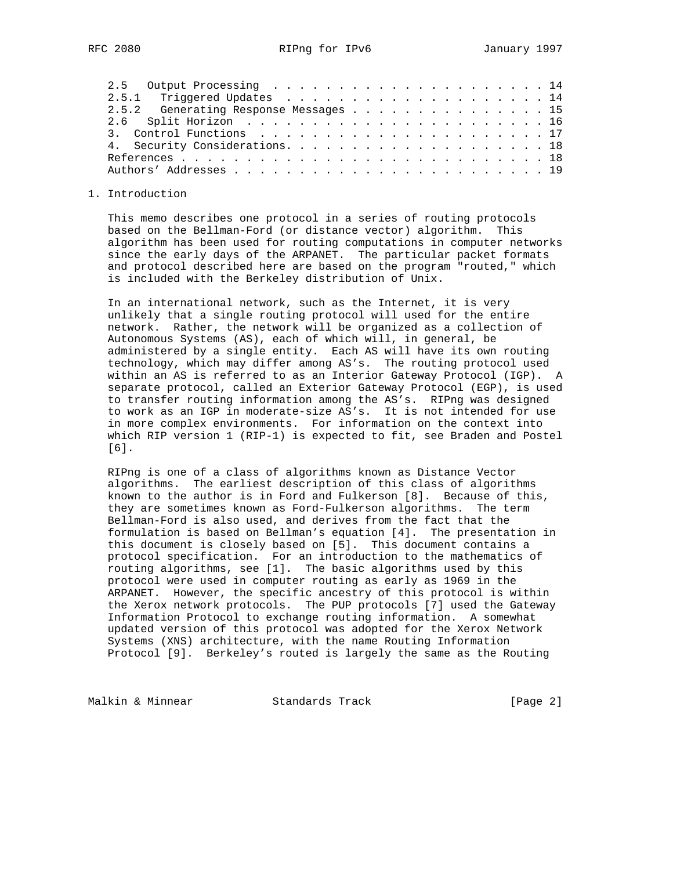| 2.5.2 Generating Response Messages 15 |  |  |  |  |  |  |  |  |
|---------------------------------------|--|--|--|--|--|--|--|--|
|                                       |  |  |  |  |  |  |  |  |
|                                       |  |  |  |  |  |  |  |  |
| 4. Security Considerations. 18        |  |  |  |  |  |  |  |  |
|                                       |  |  |  |  |  |  |  |  |
|                                       |  |  |  |  |  |  |  |  |

### 1. Introduction

 This memo describes one protocol in a series of routing protocols based on the Bellman-Ford (or distance vector) algorithm. This algorithm has been used for routing computations in computer networks since the early days of the ARPANET. The particular packet formats and protocol described here are based on the program "routed," which is included with the Berkeley distribution of Unix.

 In an international network, such as the Internet, it is very unlikely that a single routing protocol will used for the entire network. Rather, the network will be organized as a collection of Autonomous Systems (AS), each of which will, in general, be administered by a single entity. Each AS will have its own routing technology, which may differ among AS's. The routing protocol used within an AS is referred to as an Interior Gateway Protocol (IGP). A separate protocol, called an Exterior Gateway Protocol (EGP), is used to transfer routing information among the AS's. RIPng was designed to work as an IGP in moderate-size AS's. It is not intended for use in more complex environments. For information on the context into which RIP version 1 (RIP-1) is expected to fit, see Braden and Postel [6].

 RIPng is one of a class of algorithms known as Distance Vector algorithms. The earliest description of this class of algorithms known to the author is in Ford and Fulkerson [8]. Because of this, they are sometimes known as Ford-Fulkerson algorithms. The term Bellman-Ford is also used, and derives from the fact that the formulation is based on Bellman's equation [4]. The presentation in this document is closely based on [5]. This document contains a protocol specification. For an introduction to the mathematics of routing algorithms, see [1]. The basic algorithms used by this protocol were used in computer routing as early as 1969 in the ARPANET. However, the specific ancestry of this protocol is within the Xerox network protocols. The PUP protocols [7] used the Gateway Information Protocol to exchange routing information. A somewhat updated version of this protocol was adopted for the Xerox Network Systems (XNS) architecture, with the name Routing Information Protocol [9]. Berkeley's routed is largely the same as the Routing

Malkin & Minnear Standards Track [Page 2]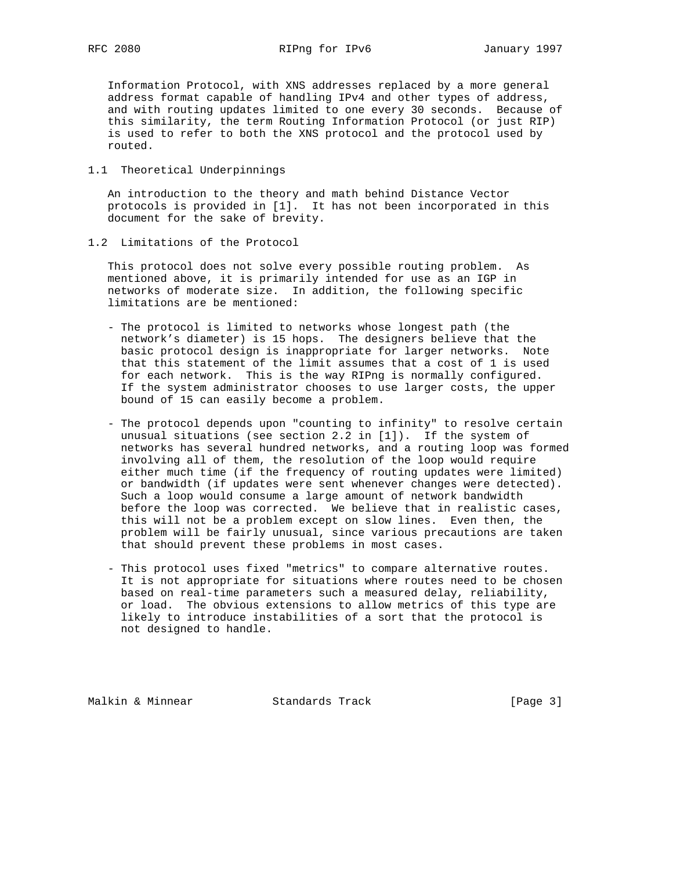Information Protocol, with XNS addresses replaced by a more general address format capable of handling IPv4 and other types of address, and with routing updates limited to one every 30 seconds. Because of this similarity, the term Routing Information Protocol (or just RIP) is used to refer to both the XNS protocol and the protocol used by routed.

1.1 Theoretical Underpinnings

 An introduction to the theory and math behind Distance Vector protocols is provided in [1]. It has not been incorporated in this document for the sake of brevity.

1.2 Limitations of the Protocol

 This protocol does not solve every possible routing problem. As mentioned above, it is primarily intended for use as an IGP in networks of moderate size. In addition, the following specific limitations are be mentioned:

- The protocol is limited to networks whose longest path (the network's diameter) is 15 hops. The designers believe that the basic protocol design is inappropriate for larger networks. Note that this statement of the limit assumes that a cost of 1 is used for each network. This is the way RIPng is normally configured. If the system administrator chooses to use larger costs, the upper bound of 15 can easily become a problem.
- The protocol depends upon "counting to infinity" to resolve certain unusual situations (see section 2.2 in [1]). If the system of networks has several hundred networks, and a routing loop was formed involving all of them, the resolution of the loop would require either much time (if the frequency of routing updates were limited) or bandwidth (if updates were sent whenever changes were detected). Such a loop would consume a large amount of network bandwidth before the loop was corrected. We believe that in realistic cases, this will not be a problem except on slow lines. Even then, the problem will be fairly unusual, since various precautions are taken that should prevent these problems in most cases.
- This protocol uses fixed "metrics" to compare alternative routes. It is not appropriate for situations where routes need to be chosen based on real-time parameters such a measured delay, reliability, or load. The obvious extensions to allow metrics of this type are likely to introduce instabilities of a sort that the protocol is not designed to handle.

Malkin & Minnear Standards Track [Page 3]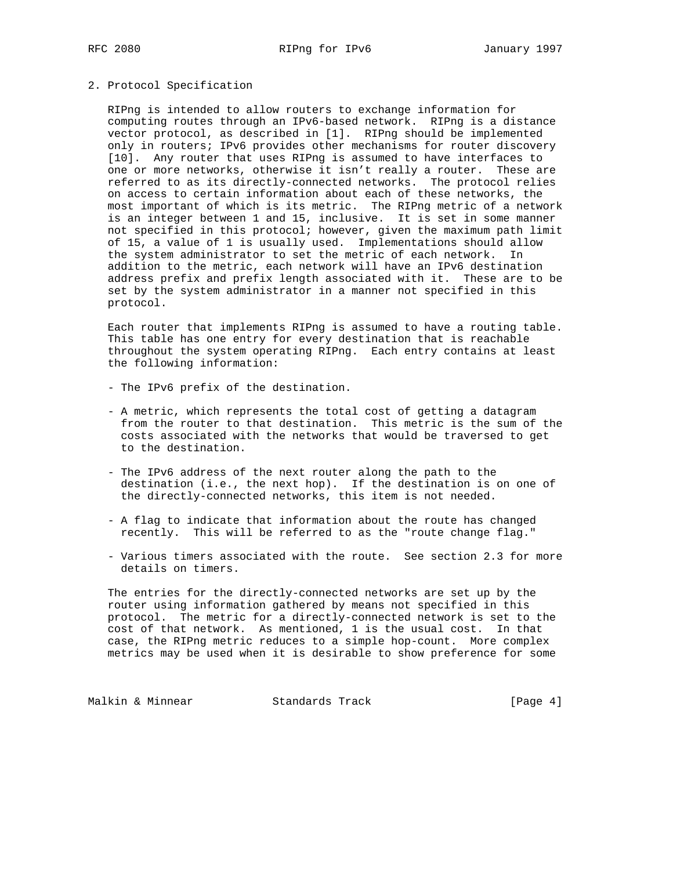#### 2. Protocol Specification

 RIPng is intended to allow routers to exchange information for computing routes through an IPv6-based network. RIPng is a distance vector protocol, as described in [1]. RIPng should be implemented only in routers; IPv6 provides other mechanisms for router discovery [10]. Any router that uses RIPng is assumed to have interfaces to one or more networks, otherwise it isn't really a router. These are referred to as its directly-connected networks. The protocol relies on access to certain information about each of these networks, the most important of which is its metric. The RIPng metric of a network is an integer between 1 and 15, inclusive. It is set in some manner not specified in this protocol; however, given the maximum path limit of 15, a value of 1 is usually used. Implementations should allow the system administrator to set the metric of each network. In addition to the metric, each network will have an IPv6 destination address prefix and prefix length associated with it. These are to be set by the system administrator in a manner not specified in this protocol.

 Each router that implements RIPng is assumed to have a routing table. This table has one entry for every destination that is reachable throughout the system operating RIPng. Each entry contains at least the following information:

- The IPv6 prefix of the destination.
- A metric, which represents the total cost of getting a datagram from the router to that destination. This metric is the sum of the costs associated with the networks that would be traversed to get to the destination.
- The IPv6 address of the next router along the path to the destination (i.e., the next hop). If the destination is on one of the directly-connected networks, this item is not needed.
- A flag to indicate that information about the route has changed recently. This will be referred to as the "route change flag."
- Various timers associated with the route. See section 2.3 for more details on timers.

 The entries for the directly-connected networks are set up by the router using information gathered by means not specified in this protocol. The metric for a directly-connected network is set to the cost of that network. As mentioned, 1 is the usual cost. In that case, the RIPng metric reduces to a simple hop-count. More complex metrics may be used when it is desirable to show preference for some

Malkin & Minnear Standards Track [Page 4]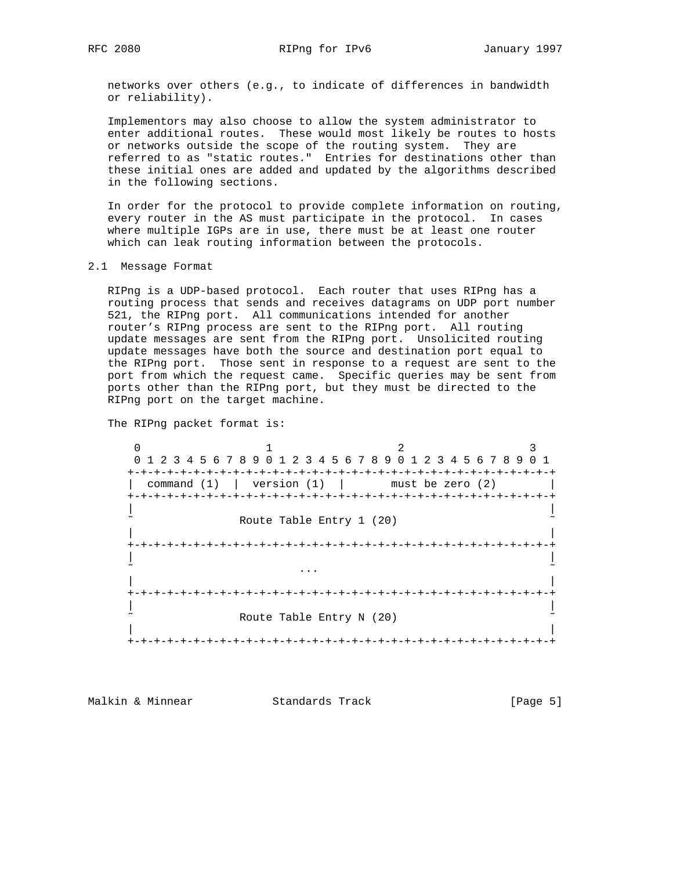networks over others (e.g., to indicate of differences in bandwidth or reliability).

 Implementors may also choose to allow the system administrator to enter additional routes. These would most likely be routes to hosts or networks outside the scope of the routing system. They are referred to as "static routes." Entries for destinations other than these initial ones are added and updated by the algorithms described in the following sections.

 In order for the protocol to provide complete information on routing, every router in the AS must participate in the protocol. In cases where multiple IGPs are in use, there must be at least one router which can leak routing information between the protocols.

### 2.1 Message Format

 RIPng is a UDP-based protocol. Each router that uses RIPng has a routing process that sends and receives datagrams on UDP port number 521, the RIPng port. All communications intended for another router's RIPng process are sent to the RIPng port. All routing update messages are sent from the RIPng port. Unsolicited routing update messages have both the source and destination port equal to the RIPng port. Those sent in response to a request are sent to the port from which the request came. Specific queries may be sent from ports other than the RIPng port, but they must be directed to the RIPng port on the target machine.

The RIPng packet format is:

 $0$  1 2 3 0 1 2 3 4 5 6 7 8 9 0 1 2 3 4 5 6 7 8 9 0 1 2 3 4 5 6 7 8 9 0 1 +-+-+-+-+-+-+-+-+-+-+-+-+-+-+-+-+-+-+-+-+-+-+-+-+-+-+-+-+-+-+-+-+ | command  $(1)$  | version  $(1)$  | must be zero  $(2)$  +-+-+-+-+-+-+-+-+-+-+-+-+-+-+-+-+-+-+-+-+-+-+-+-+-+-+-+-+-+-+-+-+ | | Route Table Entry 1 (20) | | +-+-+-+-+-+-+-+-+-+-+-+-+-+-+-+-+-+-+-+-+-+-+-+-+-+-+-+-+-+-+-+-+ | | ˜ ... ˜ | | +-+-+-+-+-+-+-+-+-+-+-+-+-+-+-+-+-+-+-+-+-+-+-+-+-+-+-+-+-+-+-+-+ | | Route Table Entry N (20) | | +-+-+-+-+-+-+-+-+-+-+-+-+-+-+-+-+-+-+-+-+-+-+-+-+-+-+-+-+-+-+-+-+

Malkin & Minnear Standards Track [Page 5]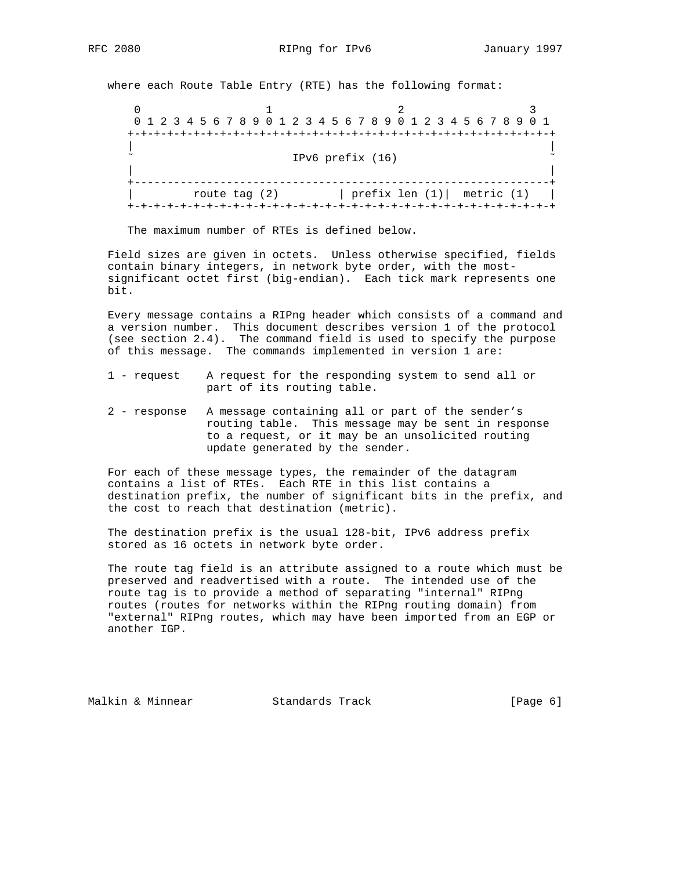where each Route Table Entry (RTE) has the following format:

0  $1$  2 3 0 1 2 3 4 5 6 7 8 9 0 1 2 3 4 5 6 7 8 9 0 1 2 3 4 5 6 7 8 9 0 1 +-+-+-+-+-+-+-+-+-+-+-+-+-+-+-+-+-+-+-+-+-+-+-+-+-+-+-+-+-+-+-+-+ | | IPv6 prefix (16) | | +---------------------------------------------------------------+ | route tag (2) | prefix len (1)| metric (1) | +-+-+-+-+-+-+-+-+-+-+-+-+-+-+-+-+-+-+-+-+-+-+-+-+-+-+-+-+-+-+-+-+

The maximum number of RTEs is defined below.

 Field sizes are given in octets. Unless otherwise specified, fields contain binary integers, in network byte order, with the most significant octet first (big-endian). Each tick mark represents one bit.

 Every message contains a RIPng header which consists of a command and a version number. This document describes version 1 of the protocol (see section 2.4). The command field is used to specify the purpose of this message. The commands implemented in version 1 are:

- 1 request A request for the responding system to send all or part of its routing table.
- 2 response A message containing all or part of the sender's routing table. This message may be sent in response to a request, or it may be an unsolicited routing update generated by the sender.

 For each of these message types, the remainder of the datagram contains a list of RTEs. Each RTE in this list contains a destination prefix, the number of significant bits in the prefix, and the cost to reach that destination (metric).

 The destination prefix is the usual 128-bit, IPv6 address prefix stored as 16 octets in network byte order.

 The route tag field is an attribute assigned to a route which must be preserved and readvertised with a route. The intended use of the route tag is to provide a method of separating "internal" RIPng routes (routes for networks within the RIPng routing domain) from "external" RIPng routes, which may have been imported from an EGP or another IGP.

Malkin & Minnear **Standards Track** [Page 6]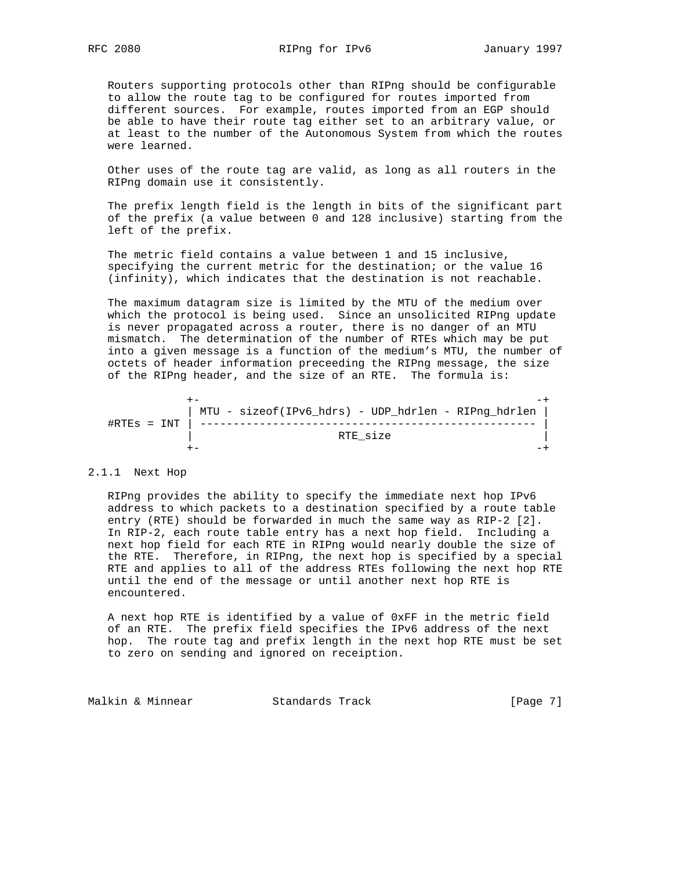Routers supporting protocols other than RIPng should be configurable to allow the route tag to be configured for routes imported from different sources. For example, routes imported from an EGP should be able to have their route tag either set to an arbitrary value, or at least to the number of the Autonomous System from which the routes were learned.

 Other uses of the route tag are valid, as long as all routers in the RIPng domain use it consistently.

 The prefix length field is the length in bits of the significant part of the prefix (a value between 0 and 128 inclusive) starting from the left of the prefix.

 The metric field contains a value between 1 and 15 inclusive, specifying the current metric for the destination; or the value 16 (infinity), which indicates that the destination is not reachable.

 The maximum datagram size is limited by the MTU of the medium over which the protocol is being used. Since an unsolicited RIPng update is never propagated across a router, there is no danger of an MTU mismatch. The determination of the number of RTEs which may be put into a given message is a function of the medium's MTU, the number of octets of header information preceeding the RIPng message, the size of the RIPng header, and the size of an RTE. The formula is:

 +- -+ | MTU - sizeof(IPv6\_hdrs) - UDP\_hdrlen - RIPng\_hdrlen | #RTEs = INT | --------------------------------------------------- | | RTE\_size | +- -+

#### 2.1.1 Next Hop

 RIPng provides the ability to specify the immediate next hop IPv6 address to which packets to a destination specified by a route table entry (RTE) should be forwarded in much the same way as RIP-2 [2]. In RIP-2, each route table entry has a next hop field. Including a next hop field for each RTE in RIPng would nearly double the size of the RTE. Therefore, in RIPng, the next hop is specified by a special RTE and applies to all of the address RTEs following the next hop RTE until the end of the message or until another next hop RTE is encountered.

 A next hop RTE is identified by a value of 0xFF in the metric field of an RTE. The prefix field specifies the IPv6 address of the next hop. The route tag and prefix length in the next hop RTE must be set to zero on sending and ignored on receiption.

Malkin & Minnear Standards Track [Page 7]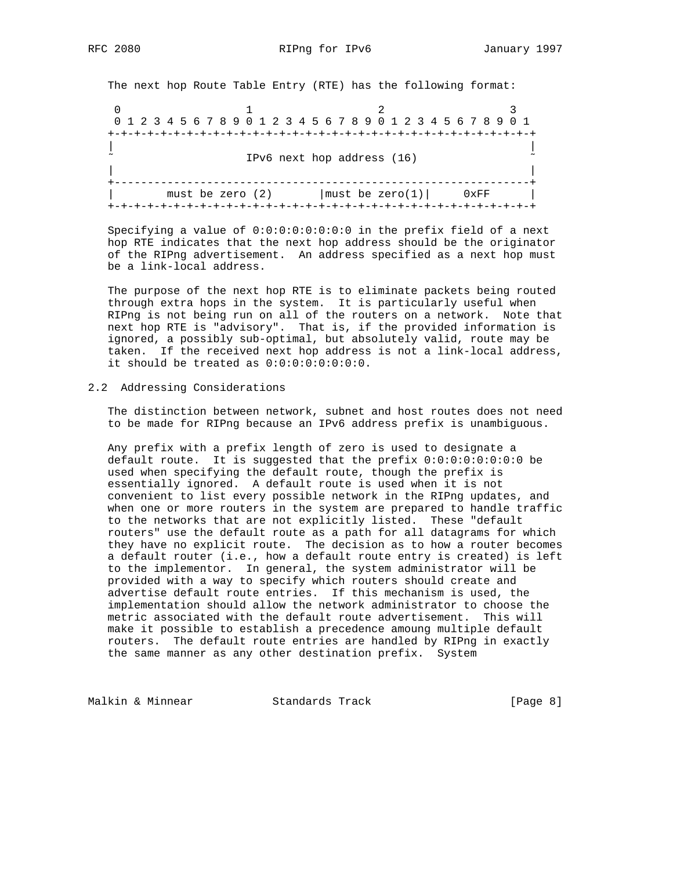The next hop Route Table Entry (RTE) has the following format:

0  $1$  2 3 0 1 2 3 4 5 6 7 8 9 0 1 2 3 4 5 6 7 8 9 0 1 2 3 4 5 6 7 8 9 0 1 +-+-+-+-+-+-+-+-+-+-+-+-+-+-+-+-+-+-+-+-+-+-+-+-+-+-+-+-+-+-+-+-+ | | IPv6 next hop address (16) | | +---------------------------------------------------------------+ | must be zero (2)  $|\text{must be zero (1)}|$  0xFF | +-+-+-+-+-+-+-+-+-+-+-+-+-+-+-+-+-+-+-+-+-+-+-+-+-+-+-+-+-+-+-+-+

 Specifying a value of 0:0:0:0:0:0:0:0 in the prefix field of a next hop RTE indicates that the next hop address should be the originator of the RIPng advertisement. An address specified as a next hop must be a link-local address.

 The purpose of the next hop RTE is to eliminate packets being routed through extra hops in the system. It is particularly useful when RIPng is not being run on all of the routers on a network. Note that next hop RTE is "advisory". That is, if the provided information is ignored, a possibly sub-optimal, but absolutely valid, route may be taken. If the received next hop address is not a link-local address, it should be treated as 0:0:0:0:0:0:0:0.

# 2.2 Addressing Considerations

 The distinction between network, subnet and host routes does not need to be made for RIPng because an IPv6 address prefix is unambiguous.

 Any prefix with a prefix length of zero is used to designate a default route. It is suggested that the prefix 0:0:0:0:0:0:0:0 be used when specifying the default route, though the prefix is essentially ignored. A default route is used when it is not convenient to list every possible network in the RIPng updates, and when one or more routers in the system are prepared to handle traffic to the networks that are not explicitly listed. These "default routers" use the default route as a path for all datagrams for which they have no explicit route. The decision as to how a router becomes a default router (i.e., how a default route entry is created) is left to the implementor. In general, the system administrator will be provided with a way to specify which routers should create and advertise default route entries. If this mechanism is used, the implementation should allow the network administrator to choose the metric associated with the default route advertisement. This will make it possible to establish a precedence amoung multiple default routers. The default route entries are handled by RIPng in exactly the same manner as any other destination prefix. System

Malkin & Minnear Standards Track [Page 8]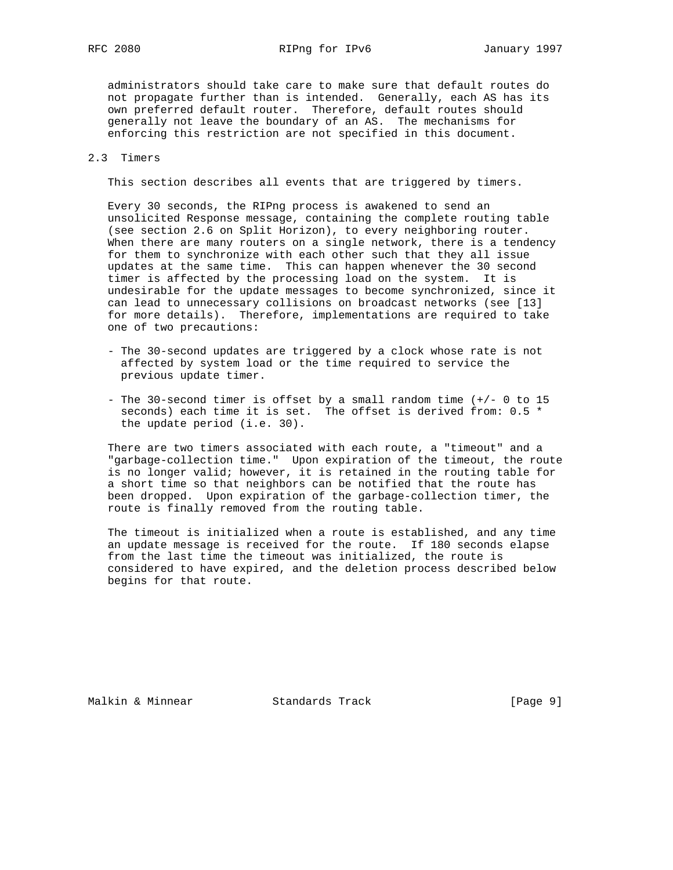RFC 2080 RIPng for IPv6 January 1997

 administrators should take care to make sure that default routes do not propagate further than is intended. Generally, each AS has its own preferred default router. Therefore, default routes should generally not leave the boundary of an AS. The mechanisms for enforcing this restriction are not specified in this document.

### 2.3 Timers

This section describes all events that are triggered by timers.

 Every 30 seconds, the RIPng process is awakened to send an unsolicited Response message, containing the complete routing table (see section 2.6 on Split Horizon), to every neighboring router. When there are many routers on a single network, there is a tendency for them to synchronize with each other such that they all issue updates at the same time. This can happen whenever the 30 second timer is affected by the processing load on the system. It is undesirable for the update messages to become synchronized, since it can lead to unnecessary collisions on broadcast networks (see [13] for more details). Therefore, implementations are required to take one of two precautions:

- The 30-second updates are triggered by a clock whose rate is not affected by system load or the time required to service the previous update timer.
- The 30-second timer is offset by a small random time (+/- 0 to 15 seconds) each time it is set. The offset is derived from: 0.5 \* the update period (i.e. 30).

 There are two timers associated with each route, a "timeout" and a "garbage-collection time." Upon expiration of the timeout, the route is no longer valid; however, it is retained in the routing table for a short time so that neighbors can be notified that the route has been dropped. Upon expiration of the garbage-collection timer, the route is finally removed from the routing table.

 The timeout is initialized when a route is established, and any time an update message is received for the route. If 180 seconds elapse from the last time the timeout was initialized, the route is considered to have expired, and the deletion process described below begins for that route.

Malkin & Minnear Standards Track [Page 9]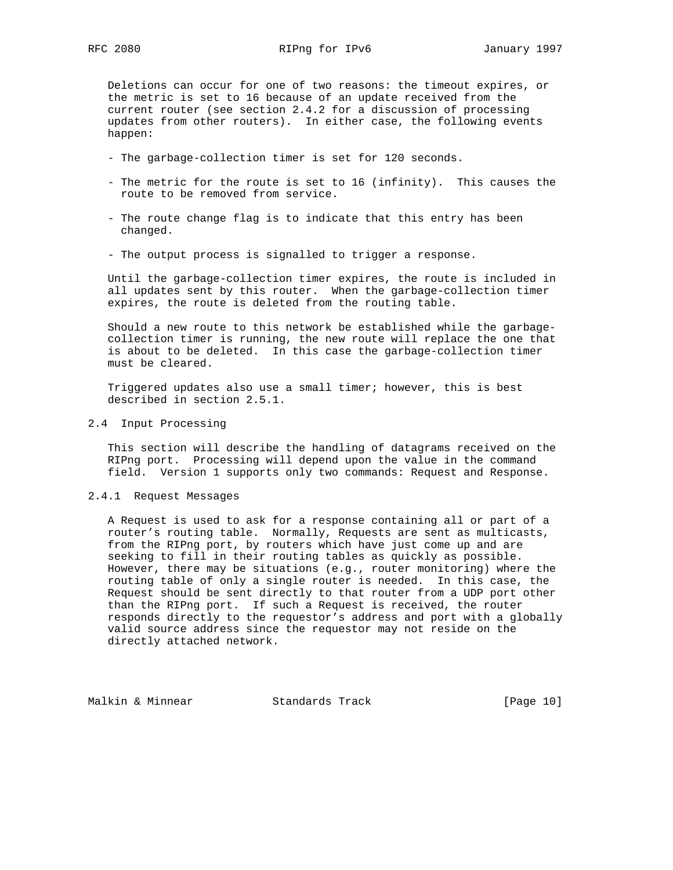Deletions can occur for one of two reasons: the timeout expires, or the metric is set to 16 because of an update received from the current router (see section 2.4.2 for a discussion of processing updates from other routers). In either case, the following events happen:

- The garbage-collection timer is set for 120 seconds.
- The metric for the route is set to 16 (infinity). This causes the route to be removed from service.
- The route change flag is to indicate that this entry has been changed.
- The output process is signalled to trigger a response.

 Until the garbage-collection timer expires, the route is included in all updates sent by this router. When the garbage-collection timer expires, the route is deleted from the routing table.

 Should a new route to this network be established while the garbage collection timer is running, the new route will replace the one that is about to be deleted. In this case the garbage-collection timer must be cleared.

 Triggered updates also use a small timer; however, this is best described in section 2.5.1.

2.4 Input Processing

 This section will describe the handling of datagrams received on the RIPng port. Processing will depend upon the value in the command field. Version 1 supports only two commands: Request and Response.

### 2.4.1 Request Messages

 A Request is used to ask for a response containing all or part of a router's routing table. Normally, Requests are sent as multicasts, from the RIPng port, by routers which have just come up and are seeking to fill in their routing tables as quickly as possible. However, there may be situations (e.g., router monitoring) where the routing table of only a single router is needed. In this case, the Request should be sent directly to that router from a UDP port other than the RIPng port. If such a Request is received, the router responds directly to the requestor's address and port with a globally valid source address since the requestor may not reside on the directly attached network.

Malkin & Minnear Standards Track [Page 10]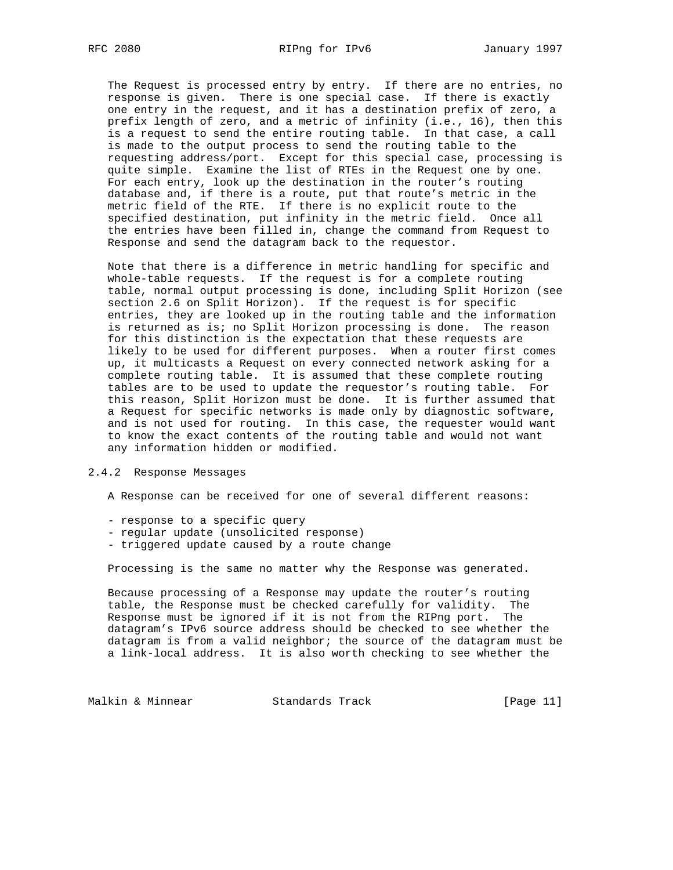The Request is processed entry by entry. If there are no entries, no response is given. There is one special case. If there is exactly one entry in the request, and it has a destination prefix of zero, a prefix length of zero, and a metric of infinity (i.e., 16), then this is a request to send the entire routing table. In that case, a call is made to the output process to send the routing table to the requesting address/port. Except for this special case, processing is quite simple. Examine the list of RTEs in the Request one by one. For each entry, look up the destination in the router's routing database and, if there is a route, put that route's metric in the metric field of the RTE. If there is no explicit route to the specified destination, put infinity in the metric field. Once all the entries have been filled in, change the command from Request to Response and send the datagram back to the requestor.

 Note that there is a difference in metric handling for specific and whole-table requests. If the request is for a complete routing table, normal output processing is done, including Split Horizon (see section 2.6 on Split Horizon). If the request is for specific entries, they are looked up in the routing table and the information is returned as is; no Split Horizon processing is done. The reason for this distinction is the expectation that these requests are likely to be used for different purposes. When a router first comes up, it multicasts a Request on every connected network asking for a complete routing table. It is assumed that these complete routing tables are to be used to update the requestor's routing table. For this reason, Split Horizon must be done. It is further assumed that a Request for specific networks is made only by diagnostic software, and is not used for routing. In this case, the requester would want to know the exact contents of the routing table and would not want any information hidden or modified.

#### 2.4.2 Response Messages

A Response can be received for one of several different reasons:

- response to a specific query
- regular update (unsolicited response)
- triggered update caused by a route change

Processing is the same no matter why the Response was generated.

 Because processing of a Response may update the router's routing table, the Response must be checked carefully for validity. The Response must be ignored if it is not from the RIPng port. The datagram's IPv6 source address should be checked to see whether the datagram is from a valid neighbor; the source of the datagram must be a link-local address. It is also worth checking to see whether the

Malkin & Minnear Standards Track [Page 11]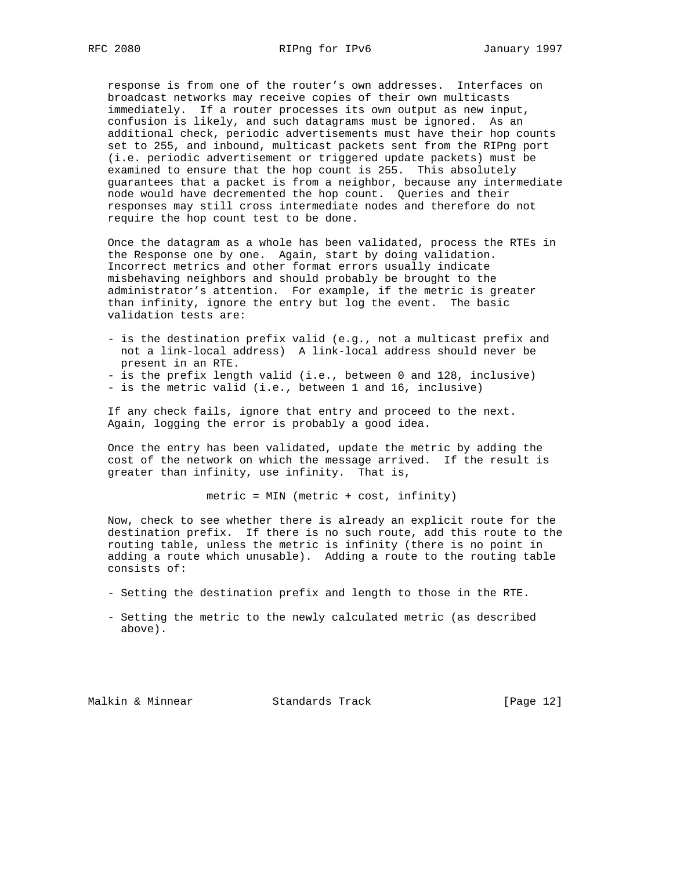response is from one of the router's own addresses. Interfaces on broadcast networks may receive copies of their own multicasts immediately. If a router processes its own output as new input, confusion is likely, and such datagrams must be ignored. As an additional check, periodic advertisements must have their hop counts set to 255, and inbound, multicast packets sent from the RIPng port (i.e. periodic advertisement or triggered update packets) must be examined to ensure that the hop count is 255. This absolutely guarantees that a packet is from a neighbor, because any intermediate node would have decremented the hop count. Queries and their responses may still cross intermediate nodes and therefore do not require the hop count test to be done.

 Once the datagram as a whole has been validated, process the RTEs in the Response one by one. Again, start by doing validation. Incorrect metrics and other format errors usually indicate misbehaving neighbors and should probably be brought to the administrator's attention. For example, if the metric is greater than infinity, ignore the entry but log the event. The basic validation tests are:

 - is the destination prefix valid (e.g., not a multicast prefix and not a link-local address) A link-local address should never be present in an RTE.

- is the prefix length valid (i.e., between 0 and 128, inclusive)

- is the metric valid (i.e., between 1 and 16, inclusive)

 If any check fails, ignore that entry and proceed to the next. Again, logging the error is probably a good idea.

 Once the entry has been validated, update the metric by adding the cost of the network on which the message arrived. If the result is greater than infinity, use infinity. That is,

metric = MIN (metric + cost, infinity)

 Now, check to see whether there is already an explicit route for the destination prefix. If there is no such route, add this route to the routing table, unless the metric is infinity (there is no point in adding a route which unusable). Adding a route to the routing table consists of:

- Setting the destination prefix and length to those in the RTE.
- Setting the metric to the newly calculated metric (as described above).

Malkin & Minnear Standards Track [Page 12]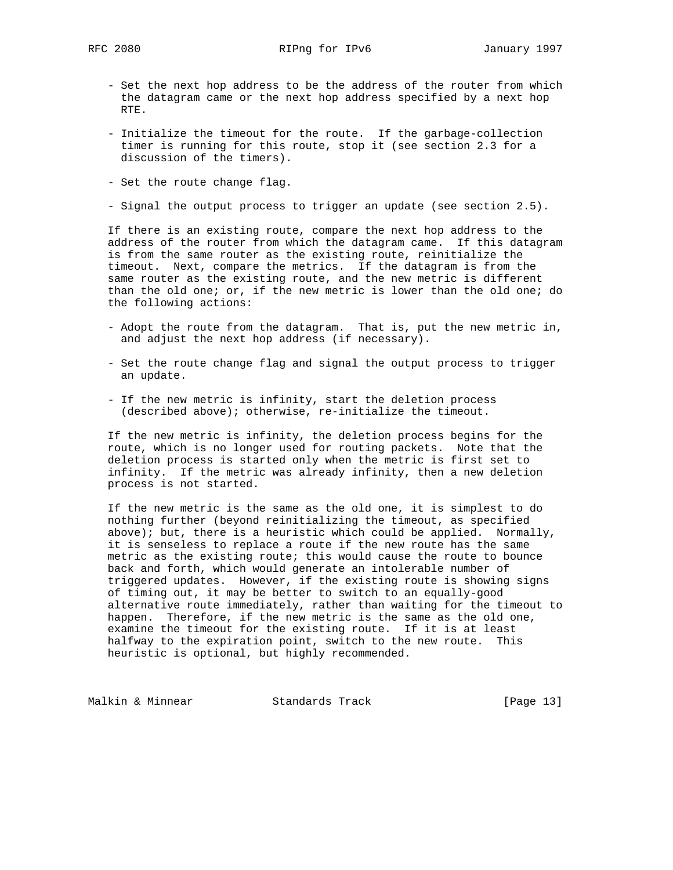RFC 2080 RIPng for IPv6 January 1997

- Set the next hop address to be the address of the router from which the datagram came or the next hop address specified by a next hop RTE.
- Initialize the timeout for the route. If the garbage-collection timer is running for this route, stop it (see section 2.3 for a discussion of the timers).
- Set the route change flag.
- Signal the output process to trigger an update (see section 2.5).

 If there is an existing route, compare the next hop address to the address of the router from which the datagram came. If this datagram is from the same router as the existing route, reinitialize the timeout. Next, compare the metrics. If the datagram is from the same router as the existing route, and the new metric is different than the old one; or, if the new metric is lower than the old one; do the following actions:

- Adopt the route from the datagram. That is, put the new metric in, and adjust the next hop address (if necessary).
- Set the route change flag and signal the output process to trigger an update.
- If the new metric is infinity, start the deletion process (described above); otherwise, re-initialize the timeout.

 If the new metric is infinity, the deletion process begins for the route, which is no longer used for routing packets. Note that the deletion process is started only when the metric is first set to infinity. If the metric was already infinity, then a new deletion process is not started.

 If the new metric is the same as the old one, it is simplest to do nothing further (beyond reinitializing the timeout, as specified above); but, there is a heuristic which could be applied. Normally, it is senseless to replace a route if the new route has the same metric as the existing route; this would cause the route to bounce back and forth, which would generate an intolerable number of triggered updates. However, if the existing route is showing signs of timing out, it may be better to switch to an equally-good alternative route immediately, rather than waiting for the timeout to happen. Therefore, if the new metric is the same as the old one, examine the timeout for the existing route. If it is at least halfway to the expiration point, switch to the new route. This heuristic is optional, but highly recommended.

Malkin & Minnear Standards Track [Page 13]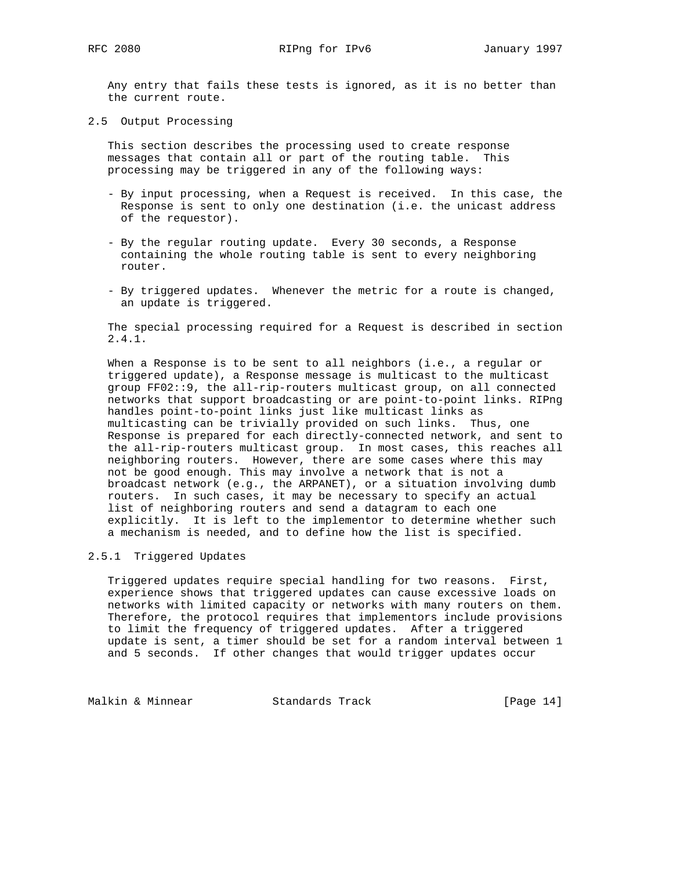Any entry that fails these tests is ignored, as it is no better than the current route.

2.5 Output Processing

 This section describes the processing used to create response messages that contain all or part of the routing table. This processing may be triggered in any of the following ways:

- By input processing, when a Request is received. In this case, the Response is sent to only one destination (i.e. the unicast address of the requestor).
- By the regular routing update. Every 30 seconds, a Response containing the whole routing table is sent to every neighboring router.
- By triggered updates. Whenever the metric for a route is changed, an update is triggered.

 The special processing required for a Request is described in section 2.4.1.

 When a Response is to be sent to all neighbors (i.e., a regular or triggered update), a Response message is multicast to the multicast group FF02::9, the all-rip-routers multicast group, on all connected networks that support broadcasting or are point-to-point links. RIPng handles point-to-point links just like multicast links as multicasting can be trivially provided on such links. Thus, one Response is prepared for each directly-connected network, and sent to the all-rip-routers multicast group. In most cases, this reaches all neighboring routers. However, there are some cases where this may not be good enough. This may involve a network that is not a broadcast network (e.g., the ARPANET), or a situation involving dumb routers. In such cases, it may be necessary to specify an actual list of neighboring routers and send a datagram to each one explicitly. It is left to the implementor to determine whether such a mechanism is needed, and to define how the list is specified.

# 2.5.1 Triggered Updates

 Triggered updates require special handling for two reasons. First, experience shows that triggered updates can cause excessive loads on networks with limited capacity or networks with many routers on them. Therefore, the protocol requires that implementors include provisions to limit the frequency of triggered updates. After a triggered update is sent, a timer should be set for a random interval between 1 and 5 seconds. If other changes that would trigger updates occur

Malkin & Minnear Standards Track [Page 14]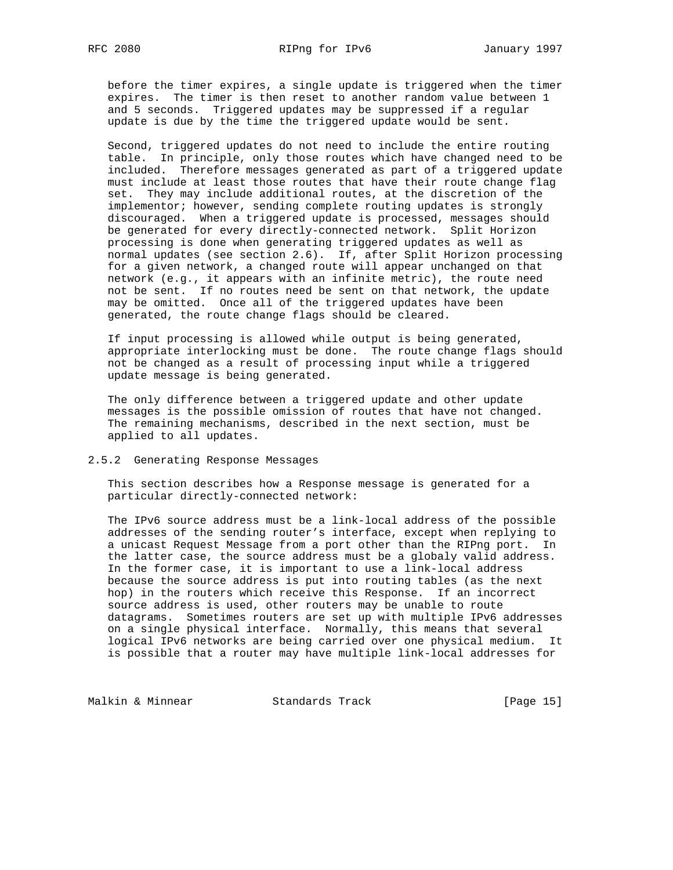before the timer expires, a single update is triggered when the timer expires. The timer is then reset to another random value between 1 and 5 seconds. Triggered updates may be suppressed if a regular update is due by the time the triggered update would be sent.

 Second, triggered updates do not need to include the entire routing table. In principle, only those routes which have changed need to be included. Therefore messages generated as part of a triggered update must include at least those routes that have their route change flag set. They may include additional routes, at the discretion of the implementor; however, sending complete routing updates is strongly discouraged. When a triggered update is processed, messages should be generated for every directly-connected network. Split Horizon processing is done when generating triggered updates as well as normal updates (see section 2.6). If, after Split Horizon processing for a given network, a changed route will appear unchanged on that network (e.g., it appears with an infinite metric), the route need not be sent. If no routes need be sent on that network, the update may be omitted. Once all of the triggered updates have been generated, the route change flags should be cleared.

 If input processing is allowed while output is being generated, appropriate interlocking must be done. The route change flags should not be changed as a result of processing input while a triggered update message is being generated.

 The only difference between a triggered update and other update messages is the possible omission of routes that have not changed. The remaining mechanisms, described in the next section, must be applied to all updates.

2.5.2 Generating Response Messages

 This section describes how a Response message is generated for a particular directly-connected network:

 The IPv6 source address must be a link-local address of the possible addresses of the sending router's interface, except when replying to a unicast Request Message from a port other than the RIPng port. In the latter case, the source address must be a globaly valid address. In the former case, it is important to use a link-local address because the source address is put into routing tables (as the next hop) in the routers which receive this Response. If an incorrect source address is used, other routers may be unable to route datagrams. Sometimes routers are set up with multiple IPv6 addresses on a single physical interface. Normally, this means that several logical IPv6 networks are being carried over one physical medium. It is possible that a router may have multiple link-local addresses for

Malkin & Minnear Standards Track [Page 15]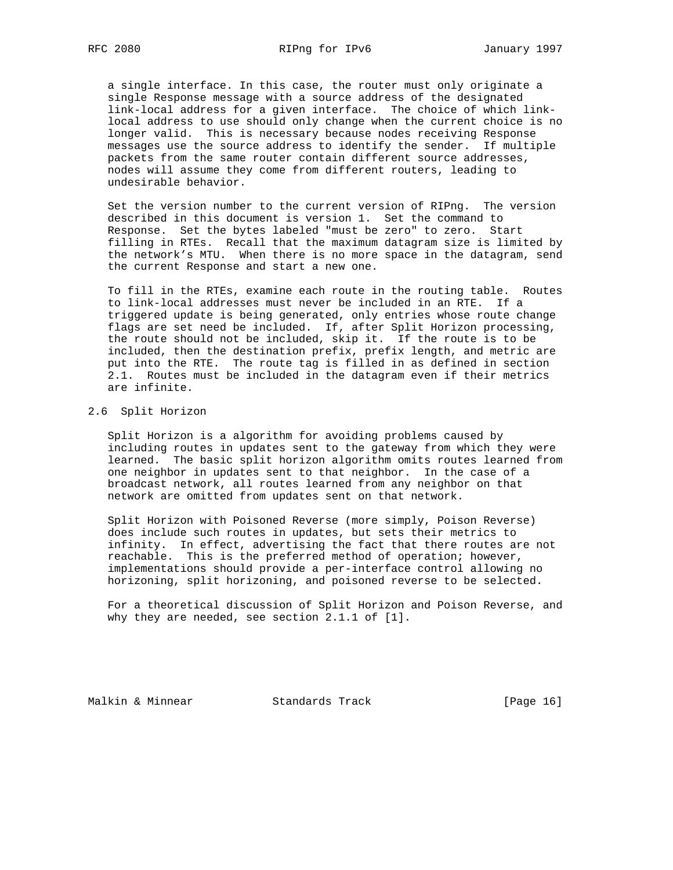a single interface. In this case, the router must only originate a single Response message with a source address of the designated link-local address for a given interface. The choice of which link local address to use should only change when the current choice is no longer valid. This is necessary because nodes receiving Response messages use the source address to identify the sender. If multiple packets from the same router contain different source addresses, nodes will assume they come from different routers, leading to undesirable behavior.

 Set the version number to the current version of RIPng. The version described in this document is version 1. Set the command to Response. Set the bytes labeled "must be zero" to zero. Start filling in RTEs. Recall that the maximum datagram size is limited by the network's MTU. When there is no more space in the datagram, send the current Response and start a new one.

 To fill in the RTEs, examine each route in the routing table. Routes to link-local addresses must never be included in an RTE. If a triggered update is being generated, only entries whose route change flags are set need be included. If, after Split Horizon processing, the route should not be included, skip it. If the route is to be included, then the destination prefix, prefix length, and metric are put into the RTE. The route tag is filled in as defined in section 2.1. Routes must be included in the datagram even if their metrics are infinite.

#### 2.6 Split Horizon

 Split Horizon is a algorithm for avoiding problems caused by including routes in updates sent to the gateway from which they were learned. The basic split horizon algorithm omits routes learned from one neighbor in updates sent to that neighbor. In the case of a broadcast network, all routes learned from any neighbor on that network are omitted from updates sent on that network.

 Split Horizon with Poisoned Reverse (more simply, Poison Reverse) does include such routes in updates, but sets their metrics to infinity. In effect, advertising the fact that there routes are not reachable. This is the preferred method of operation; however, implementations should provide a per-interface control allowing no horizoning, split horizoning, and poisoned reverse to be selected.

 For a theoretical discussion of Split Horizon and Poison Reverse, and why they are needed, see section 2.1.1 of [1].

Malkin & Minnear Standards Track [Page 16]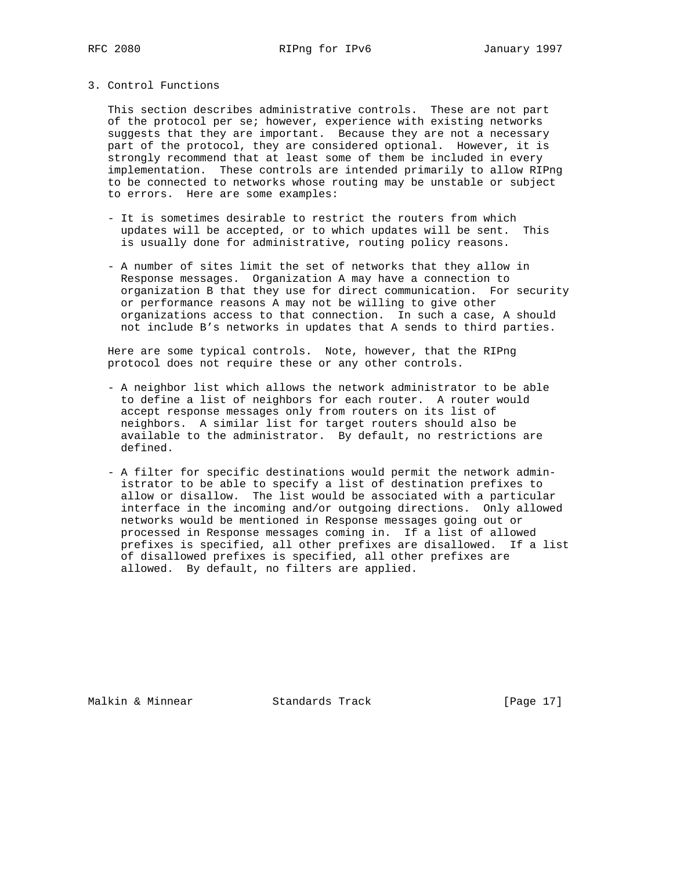3. Control Functions

 This section describes administrative controls. These are not part of the protocol per se; however, experience with existing networks suggests that they are important. Because they are not a necessary part of the protocol, they are considered optional. However, it is strongly recommend that at least some of them be included in every implementation. These controls are intended primarily to allow RIPng to be connected to networks whose routing may be unstable or subject to errors. Here are some examples:

- It is sometimes desirable to restrict the routers from which updates will be accepted, or to which updates will be sent. This is usually done for administrative, routing policy reasons.
- A number of sites limit the set of networks that they allow in Response messages. Organization A may have a connection to organization B that they use for direct communication. For security or performance reasons A may not be willing to give other organizations access to that connection. In such a case, A should not include B's networks in updates that A sends to third parties.

 Here are some typical controls. Note, however, that the RIPng protocol does not require these or any other controls.

- A neighbor list which allows the network administrator to be able to define a list of neighbors for each router. A router would accept response messages only from routers on its list of neighbors. A similar list for target routers should also be available to the administrator. By default, no restrictions are defined.
- A filter for specific destinations would permit the network admin istrator to be able to specify a list of destination prefixes to allow or disallow. The list would be associated with a particular interface in the incoming and/or outgoing directions. Only allowed networks would be mentioned in Response messages going out or processed in Response messages coming in. If a list of allowed prefixes is specified, all other prefixes are disallowed. If a list of disallowed prefixes is specified, all other prefixes are allowed. By default, no filters are applied.

Malkin & Minnear Standards Track [Page 17]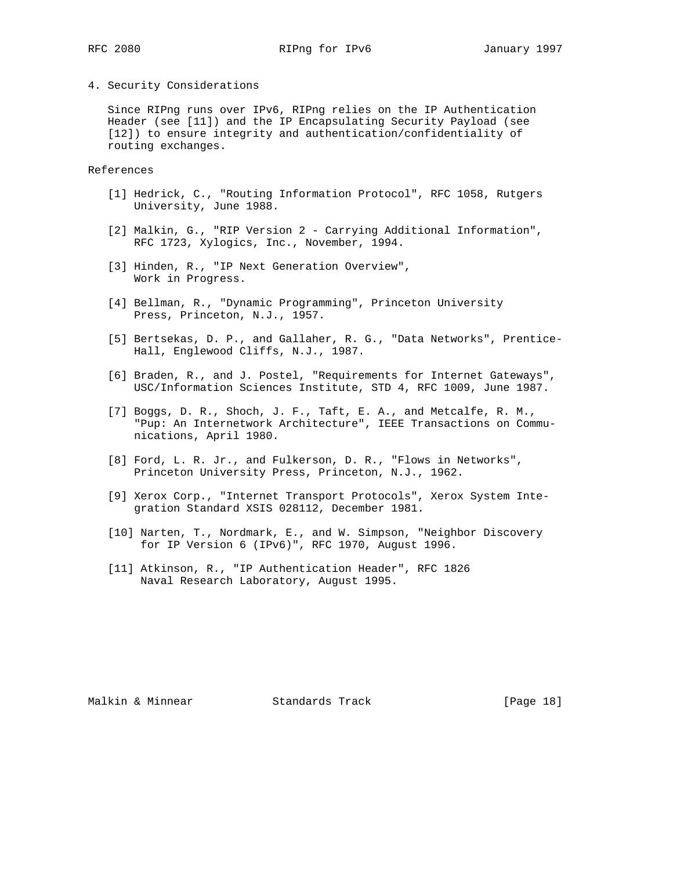# 4. Security Considerations

 Since RIPng runs over IPv6, RIPng relies on the IP Authentication Header (see [11]) and the IP Encapsulating Security Payload (see [12]) to ensure integrity and authentication/confidentiality of routing exchanges.

References

- [1] Hedrick, C., "Routing Information Protocol", RFC 1058, Rutgers University, June 1988.
- [2] Malkin, G., "RIP Version 2 Carrying Additional Information", RFC 1723, Xylogics, Inc., November, 1994.
- [3] Hinden, R., "IP Next Generation Overview", Work in Progress.
- [4] Bellman, R., "Dynamic Programming", Princeton University Press, Princeton, N.J., 1957.
- [5] Bertsekas, D. P., and Gallaher, R. G., "Data Networks", Prentice- Hall, Englewood Cliffs, N.J., 1987.
- [6] Braden, R., and J. Postel, "Requirements for Internet Gateways", USC/Information Sciences Institute, STD 4, RFC 1009, June 1987.
- [7] Boggs, D. R., Shoch, J. F., Taft, E. A., and Metcalfe, R. M., "Pup: An Internetwork Architecture", IEEE Transactions on Commu nications, April 1980.
- [8] Ford, L. R. Jr., and Fulkerson, D. R., "Flows in Networks", Princeton University Press, Princeton, N.J., 1962.
- [9] Xerox Corp., "Internet Transport Protocols", Xerox System Inte gration Standard XSIS 028112, December 1981.
- [10] Narten, T., Nordmark, E., and W. Simpson, "Neighbor Discovery for IP Version 6 (IPv6)", RFC 1970, August 1996.
- [11] Atkinson, R., "IP Authentication Header", RFC 1826 Naval Research Laboratory, August 1995.

Malkin & Minnear Standards Track [Page 18]